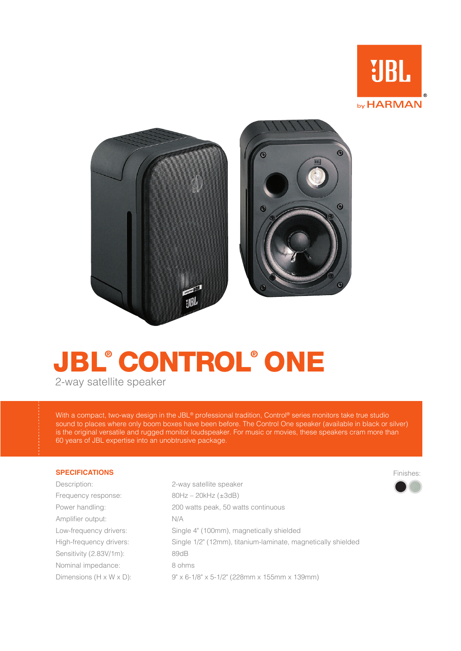

Finishes:



# **JBL® CONTROL® ONE**

2-way satellite speaker

With a compact, two-way design in the JBL® professional tradition, Control® series monitors take true studio sound to places where only boom boxes have been before. The Control One speaker (available in black or silver) is the original versatile and rugged monitor loudspeaker. For music or movies, these speakers cram more than 60 years of JBL expertise into an unobtrusive package.

# **SPECIFICATIONS**

| Description:                         | 2-way satellite speaker                                      |
|--------------------------------------|--------------------------------------------------------------|
| Frequency response:                  | $80Hz - 20kHz$ ( $\pm 3dB$ )                                 |
| Power handling:                      | 200 watts peak, 50 watts continuous                          |
| Amplifier output:                    | N/A                                                          |
| Low-frequency drivers:               | Single 4" (100mm), magnetically shielded                     |
| High-frequency drivers:              | Single 1/2" (12mm), titanium-laminate, magnetically shielded |
| Sensitivity (2.83V/1m):              | 89dB                                                         |
| Nominal impedance:                   | 8 ohms                                                       |
| Dimensions $(H \times W \times D)$ : | $9" \times 6$ -1/8" x 5-1/2" (228mm x 155mm x 139mm)         |